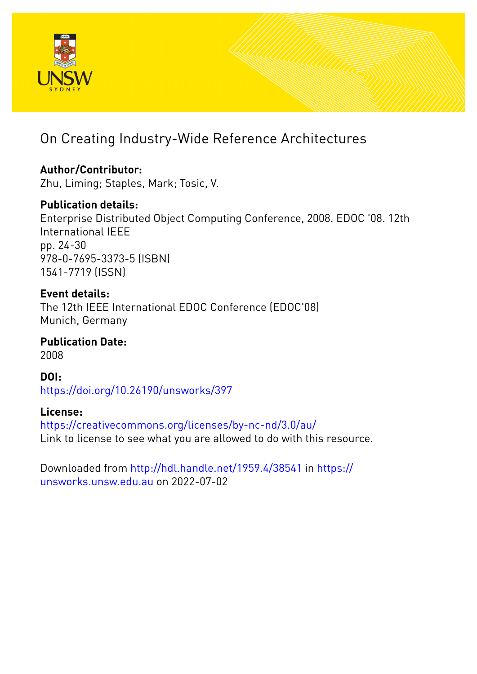

# On Creating Industry-Wide Reference Architectures

## **Author/Contributor:**

Zhu, Liming; Staples, Mark; Tosic, V.

## **Publication details:**

Enterprise Distributed Object Computing Conference, 2008. EDOC '08. 12th International IEEE pp. 24-30 978-0-7695-3373-5 (ISBN) 1541-7719 (ISSN)

## **Event details:**

The 12th IEEE International EDOC Conference (EDOC'08) Munich, Germany

# **Publication Date:**

2008

## **DOI:** [https://doi.org/10.26190/unsworks/397](http://dx.doi.org/https://doi.org/10.26190/unsworks/397)

## **License:**

<https://creativecommons.org/licenses/by-nc-nd/3.0/au/> Link to license to see what you are allowed to do with this resource.

Downloaded from <http://hdl.handle.net/1959.4/38541> in [https://](https://unsworks.unsw.edu.au) [unsworks.unsw.edu.au](https://unsworks.unsw.edu.au) on 2022-07-02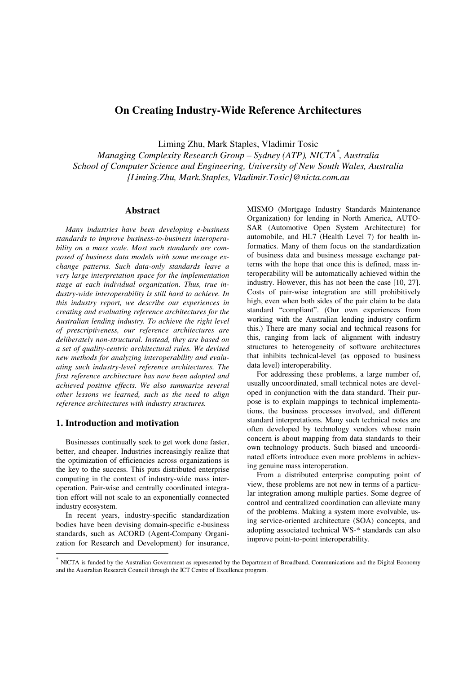### **On Creating Industry-Wide Reference Architectures**

Liming Zhu, Mark Staples, Vladimir Tosic

*Managing Complexity Research Group – Sydney (ATP), NICTA\* , Australia School of Computer Science and Engineering, University of New South Wales, Australia {Liming.Zhu, Mark.Staples, Vladimir.Tosic}@nicta.com.au* 

#### **Abstract**

*Many industries have been developing e-business standards to improve business-to-business interoperability on a mass scale. Most such standards are composed of business data models with some message exchange patterns. Such data-only standards leave a very large interpretation space for the implementation stage at each individual organization. Thus, true industry-wide interoperability is still hard to achieve. In this industry report, we describe our experiences in creating and evaluating reference architectures for the Australian lending industry. To achieve the right level of prescriptiveness, our reference architectures are deliberately non-structural. Instead, they are based on a set of quality-centric architectural rules. We devised new methods for analyzing interoperability and evaluating such industry-level reference architectures. The first reference architecture has now been adopted and achieved positive effects. We also summarize several other lessons we learned, such as the need to align reference architectures with industry structures.* 

#### **1. Introduction and motivation**

-

Businesses continually seek to get work done faster, better, and cheaper. Industries increasingly realize that the optimization of efficiencies across organizations is the key to the success. This puts distributed enterprise computing in the context of industry-wide mass interoperation. Pair-wise and centrally coordinated integration effort will not scale to an exponentially connected industry ecosystem.

In recent years, industry-specific standardization bodies have been devising domain-specific e-business standards, such as ACORD (Agent-Company Organization for Research and Development) for insurance,

MISMO (Mortgage Industry Standards Maintenance Organization) for lending in North America, AUTO-SAR (Automotive Open System Architecture) for automobile, and HL7 (Health Level 7) for health informatics. Many of them focus on the standardization of business data and business message exchange patterns with the hope that once this is defined, mass interoperability will be automatically achieved within the industry. However, this has not been the case [10, 27]. Costs of pair-wise integration are still prohibitively high, even when both sides of the pair claim to be data standard "compliant". (Our own experiences from working with the Australian lending industry confirm this.) There are many social and technical reasons for this, ranging from lack of alignment with industry structures to heterogeneity of software architectures that inhibits technical-level (as opposed to business data level) interoperability.

For addressing these problems, a large number of, usually uncoordinated, small technical notes are developed in conjunction with the data standard. Their purpose is to explain mappings to technical implementations, the business processes involved, and different standard interpretations. Many such technical notes are often developed by technology vendors whose main concern is about mapping from data standards to their own technology products. Such biased and uncoordinated efforts introduce even more problems in achieving genuine mass interoperation.

From a distributed enterprise computing point of view, these problems are not new in terms of a particular integration among multiple parties. Some degree of control and centralized coordination can alleviate many of the problems. Making a system more evolvable, using service-oriented architecture (SOA) concepts, and adopting associated technical WS-\* standards can also improve point-to-point interoperability.

<sup>\*</sup> NICTA is funded by the Australian Government as represented by the Department of Broadband, Communications and the Digital Economy and the Australian Research Council through the ICT Centre of Excellence program.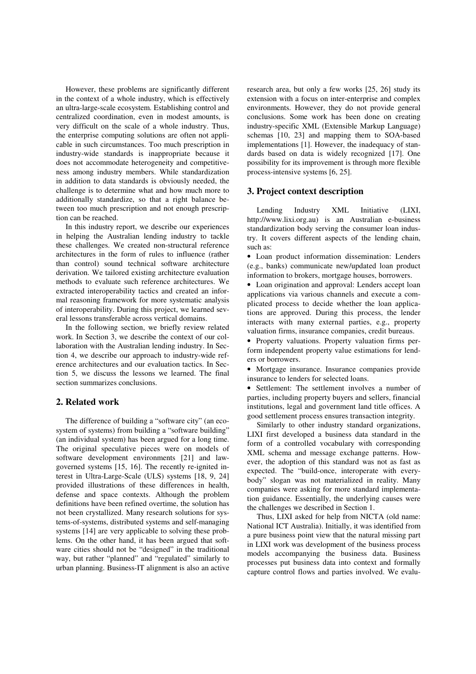However, these problems are significantly different in the context of a whole industry, which is effectively an ultra-large-scale ecosystem. Establishing control and centralized coordination, even in modest amounts, is very difficult on the scale of a whole industry. Thus, the enterprise computing solutions are often not applicable in such circumstances. Too much prescription in industry-wide standards is inappropriate because it does not accommodate heterogeneity and competitiveness among industry members. While standardization in addition to data standards is obviously needed, the challenge is to determine what and how much more to additionally standardize, so that a right balance between too much prescription and not enough prescription can be reached.

In this industry report, we describe our experiences in helping the Australian lending industry to tackle these challenges. We created non-structural reference architectures in the form of rules to influence (rather than control) sound technical software architecture derivation. We tailored existing architecture evaluation methods to evaluate such reference architectures. We extracted interoperability tactics and created an informal reasoning framework for more systematic analysis of interoperability. During this project, we learned several lessons transferable across vertical domains.

In the following section, we briefly review related work. In Section 3, we describe the context of our collaboration with the Australian lending industry. In Section 4, we describe our approach to industry-wide reference architectures and our evaluation tactics. In Section 5, we discuss the lessons we learned. The final section summarizes conclusions.

#### **2. Related work**

The difference of building a "software city" (an ecosystem of systems) from building a "software building" (an individual system) has been argued for a long time. The original speculative pieces were on models of software development environments [21] and lawgoverned systems [15, 16]. The recently re-ignited interest in Ultra-Large-Scale (ULS) systems [18, 9, 24] provided illustrations of these differences in health, defense and space contexts. Although the problem definitions have been refined overtime, the solution has not been crystallized. Many research solutions for systems-of-systems, distributed systems and self-managing systems [14] are very applicable to solving these problems. On the other hand, it has been argued that software cities should not be "designed" in the traditional way, but rather "planned" and "regulated" similarly to urban planning. Business-IT alignment is also an active

research area, but only a few works [25, 26] study its extension with a focus on inter-enterprise and complex environments. However, they do not provide general conclusions. Some work has been done on creating industry-specific XML (Extensible Markup Language) schemas [10, 23] and mapping them to SOA-based implementations [1]. However, the inadequacy of standards based on data is widely recognized [17]. One possibility for its improvement is through more flexible process-intensive systems [6, 25].

#### **3. Project context description**

Lending Industry XML Initiative (LIXI, http://www.lixi.org.au) is an Australian e-business standardization body serving the consumer loan industry. It covers different aspects of the lending chain, such as:

• Loan product information dissemination: Lenders (e.g., banks) communicate new/updated loan product information to brokers, mortgage houses, borrowers.

• Loan origination and approval: Lenders accept loan applications via various channels and execute a complicated process to decide whether the loan applications are approved. During this process, the lender interacts with many external parties, e.g., property valuation firms, insurance companies, credit bureaus.

• Property valuations. Property valuation firms perform independent property value estimations for lenders or borrowers.

• Mortgage insurance. Insurance companies provide insurance to lenders for selected loans.

• Settlement: The settlement involves a number of parties, including property buyers and sellers, financial institutions, legal and government land title offices. A good settlement process ensures transaction integrity.

Similarly to other industry standard organizations, LIXI first developed a business data standard in the form of a controlled vocabulary with corresponding XML schema and message exchange patterns. However, the adoption of this standard was not as fast as expected. The "build-once, interoperate with everybody" slogan was not materialized in reality. Many companies were asking for more standard implementation guidance. Essentially, the underlying causes were the challenges we described in Section 1.

Thus, LIXI asked for help from NICTA (old name: National ICT Australia). Initially, it was identified from a pure business point view that the natural missing part in LIXI work was development of the business process models accompanying the business data. Business processes put business data into context and formally capture control flows and parties involved. We evalu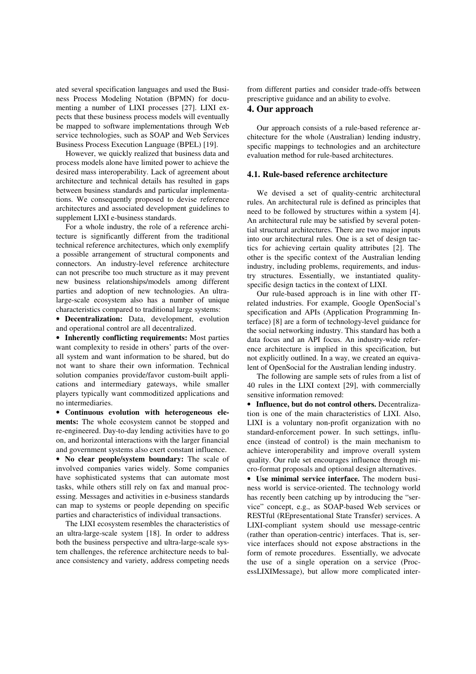ated several specification languages and used the Business Process Modeling Notation (BPMN) for documenting a number of LIXI processes [27]. LIXI expects that these business process models will eventually be mapped to software implementations through Web service technologies, such as SOAP and Web Services Business Process Execution Language (BPEL) [19].

However, we quickly realized that business data and process models alone have limited power to achieve the desired mass interoperability. Lack of agreement about architecture and technical details has resulted in gaps between business standards and particular implementations. We consequently proposed to devise reference architectures and associated development guidelines to supplement LIXI e-business standards.

For a whole industry, the role of a reference architecture is significantly different from the traditional technical reference architectures, which only exemplify a possible arrangement of structural components and connectors. An industry-level reference architecture can not prescribe too much structure as it may prevent new business relationships/models among different parties and adoption of new technologies. An ultralarge-scale ecosystem also has a number of unique characteristics compared to traditional large systems:

• **Decentralization:** Data, development, evolution and operational control are all decentralized.

• **Inherently conflicting requirements:** Most parties want complexity to reside in others' parts of the overall system and want information to be shared, but do not want to share their own information. Technical solution companies provide/favor custom-built applications and intermediary gateways, while smaller players typically want commoditized applications and no intermediaries.

• **Continuous evolution with heterogeneous elements:** The whole ecosystem cannot be stopped and re-engineered. Day-to-day lending activities have to go on, and horizontal interactions with the larger financial and government systems also exert constant influence.

• **No clear people/system boundary:** The scale of involved companies varies widely. Some companies have sophisticated systems that can automate most tasks, while others still rely on fax and manual processing. Messages and activities in e-business standards can map to systems or people depending on specific parties and characteristics of individual transactions.

The LIXI ecosystem resembles the characteristics of an ultra-large-scale system [18]. In order to address both the business perspective and ultra-large-scale system challenges, the reference architecture needs to balance consistency and variety, address competing needs

from different parties and consider trade-offs between prescriptive guidance and an ability to evolve.

### **4. Our approach**

Our approach consists of a rule-based reference architecture for the whole (Australian) lending industry, specific mappings to technologies and an architecture evaluation method for rule-based architectures.

#### **4.1. Rule-based reference architecture**

We devised a set of quality-centric architectural rules. An architectural rule is defined as principles that need to be followed by structures within a system [4]. An architectural rule may be satisfied by several potential structural architectures. There are two major inputs into our architectural rules. One is a set of design tactics for achieving certain quality attributes [2]. The other is the specific context of the Australian lending industry, including problems, requirements, and industry structures. Essentially, we instantiated qualityspecific design tactics in the context of LIXI.

Our rule-based approach is in line with other ITrelated industries. For example, Google OpenSocial's specification and APIs (Application Programming Interface) [8] are a form of technology-level guidance for the social networking industry. This standard has both a data focus and an API focus. An industry-wide reference architecture is implied in this specification, but not explicitly outlined. In a way, we created an equivalent of OpenSocial for the Australian lending industry.

The following are sample sets of rules from a list of 40 rules in the LIXI context [29], with commercially sensitive information removed:

• **Influence, but do not control others.** Decentralization is one of the main characteristics of LIXI. Also, LIXI is a voluntary non-profit organization with no standard-enforcement power. In such settings, influence (instead of control) is the main mechanism to achieve interoperability and improve overall system quality. Our rule set encourages influence through micro-format proposals and optional design alternatives.

• **Use minimal service interface.** The modern business world is service-oriented. The technology world has recently been catching up by introducing the "service" concept, e.g., as SOAP-based Web services or RESTful (REpresentational State Transfer) services. A LIXI-compliant system should use message-centric (rather than operation-centric) interfaces. That is, service interfaces should not expose abstractions in the form of remote procedures. Essentially, we advocate the use of a single operation on a service (ProcessLIXIMessage), but allow more complicated inter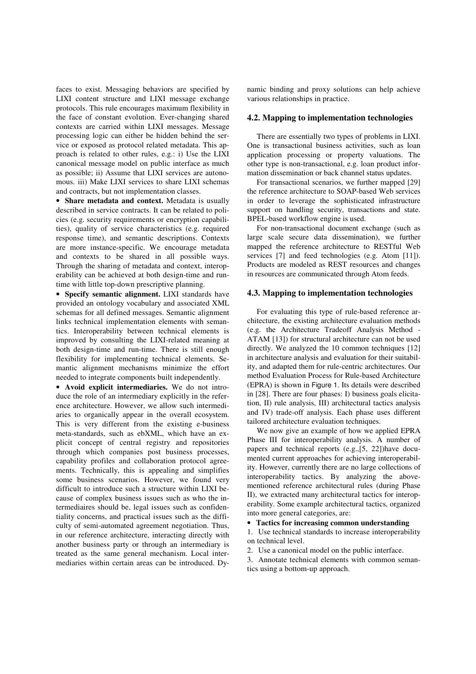faces to exist. Messaging behaviors are specified by LIXI content structure and LIXI message exchange protocols. This rule encourages maximum flexibility in the face of constant evolution. Ever-changing shared contexts are carried within LIXI messages. Message processing logic can either be hidden behind the service or exposed as protocol related metadata. This approach is related to other rules, e.g.: i) Use the LIXI canonical message model on public interface as much as possible; ii) Assume that LIXI services are autonomous. iii) Make LIXI services to share LIXI schemas and contracts, but not implementation classes.

• **Share metadata and context.** Metadata is usually described in service contracts. It can be related to policies (e.g. security requirements or encryption capabilities), quality of service characteristics (e.g. required response time), and semantic descriptions. Contexts are more instance-specific. We encourage metadata and contexts to be shared in all possible ways. Through the sharing of metadata and context, interoperability can be achieved at both design-time and runtime with little top-down prescriptive planning.

• **Specify semantic alignment.** LIXI standards have provided an ontology vocabulary and associated XML schemas for all defined messages. Semantic alignment links technical implementation elements with semantics. Interoperability between technical elements is improved by consulting the LIXI-related meaning at both design-time and run-time. There is still enough flexibility for implementing technical elements. Semantic alignment mechanisms minimize the effort needed to integrate components built independently.

• **Avoid explicit intermediaries.** We do not introduce the role of an intermediary explicitly in the reference architecture. However, we allow such intermediaries to organically appear in the overall ecosystem. This is very different from the existing e-business meta-standards, such as ebXML, which have an explicit concept of central registry and repositories through which companies post business processes, capability profiles and collaboration protocol agreements. Technically, this is appealing and simplifies some business scenarios. However, we found very difficult to introduce such a structure within LIXI because of complex business issues such as who the intermediaires should be, legal issues such as confidentiality concerns, and practical issues such as the difficulty of semi-automated agreement negotiation. Thus, in our reference architecture, interacting directly with another business party or through an intermediary is treated as the same general mechanism. Local intermediaries within certain areas can be introduced. Dynamic binding and proxy solutions can help achieve various relationships in practice.

#### **4.2. Mapping to implementation technologies**

There are essentially two types of problems in LIXI. One is transactional business activities, such as loan application processing or property valuations. The other type is non-transactional, e.g. loan product information dissemination or back channel status updates.

For transactional scenarios, we further mapped [29] the reference architecture to SOAP-based Web services in order to leverage the sophisticated infrastructure support on handling security, transactions and state. BPEL-based workflow engine is used.

For non-transactional document exchange (such as large scale secure data dissemination), we further mapped the reference architecture to RESTful Web services [7] and feed technologies (e.g. Atom [11]). Products are modeled as REST resources and changes in resources are communicated through Atom feeds.

#### **4.3. Mapping to implementation technologies**

For evaluating this type of rule-based reference architecture, the existing architecture evaluation methods (e.g. the Architecture Tradeoff Analysis Method - ATAM [13]) for structural architecture can not be used directly. We analyzed the 10 common techniques [12] in architecture analysis and evaluation for their suitability, and adapted them for rule-centric architectures. Our method Evaluation Process for Rule-based Architecture (EPRA) is shown in Figure 1. Its details were described in [28]. There are four phases: I) business goals elicitation, II) rule analysis, III) architectural tactics analysis and IV) trade-off analysis. Each phase uses different tailored architecture evaluation techniques.

We now give an example of how we applied EPRA Phase III for interoperability analysis. A number of papers and technical reports (e.g.,[5, 22])have documented current approaches for achieving interoperability. However, currently there are no large collections of interoperability tactics. By analyzing the abovementioned reference architectural rules (during Phase II), we extracted many architectural tactics for interoperability. Some example architectural tactics, organized into more general categories, are:

#### • **Tactics for increasing common understanding**

1. Use technical standards to increase interoperability on technical level.

2. Use a canonical model on the public interface.

3. Annotate technical elements with common semantics using a bottom-up approach.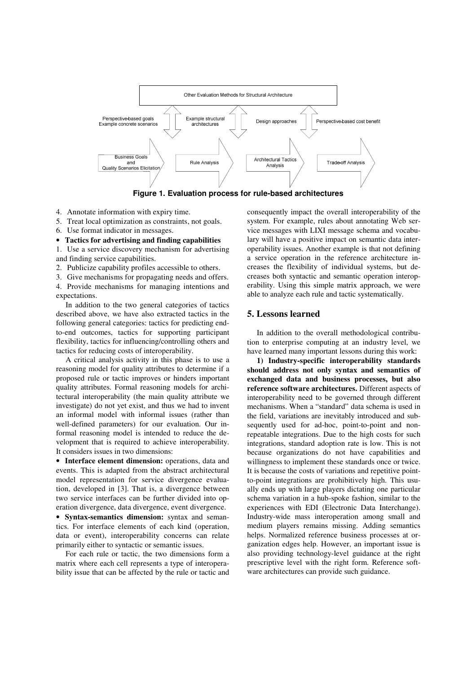

**Figure 1. Evaluation process for rule-based architectures** 

- 4. Annotate information with expiry time.
- 5. Treat local optimization as constraints, not goals.
- 6. Use format indicator in messages.

#### • **Tactics for advertising and finding capabilities**

1. Use a service discovery mechanism for advertising and finding service capabilities.

- 2. Publicize capability profiles accessible to others.
- 3. Give mechanisms for propagating needs and offers.

4. Provide mechanisms for managing intentions and expectations.

In addition to the two general categories of tactics described above, we have also extracted tactics in the following general categories: tactics for predicting endto-end outcomes, tactics for supporting participant flexibility, tactics for influencing/controlling others and tactics for reducing costs of interoperability.

A critical analysis activity in this phase is to use a reasoning model for quality attributes to determine if a proposed rule or tactic improves or hinders important quality attributes. Formal reasoning models for architectural interoperability (the main quality attribute we investigate) do not yet exist, and thus we had to invent an informal model with informal issues (rather than well-defined parameters) for our evaluation. Our informal reasoning model is intended to reduce the development that is required to achieve interoperability. It considers issues in two dimensions:

• **Interface element dimension:** operations, data and events. This is adapted from the abstract architectural model representation for service divergence evaluation, developed in [3]. That is, a divergence between two service interfaces can be further divided into operation divergence, data divergence, event divergence.

• **Syntax-semantics dimension:** syntax and semantics. For interface elements of each kind (operation, data or event), interoperability concerns can relate primarily either to syntactic or semantic issues.

For each rule or tactic, the two dimensions form a matrix where each cell represents a type of interoperability issue that can be affected by the rule or tactic and consequently impact the overall interoperability of the system. For example, rules about annotating Web service messages with LIXI message schema and vocabulary will have a positive impact on semantic data interoperability issues. Another example is that not defining a service operation in the reference architecture increases the flexibility of individual systems, but decreases both syntactic and semantic operation interoperability. Using this simple matrix approach, we were able to analyze each rule and tactic systematically.

#### **5. Lessons learned**

In addition to the overall methodological contribution to enterprise computing at an industry level, we have learned many important lessons during this work:

**1) Industry-specific interoperability standards should address not only syntax and semantics of exchanged data and business processes, but also reference software architectures.** Different aspects of interoperability need to be governed through different mechanisms. When a "standard" data schema is used in the field, variations are inevitably introduced and subsequently used for ad-hoc, point-to-point and nonrepeatable integrations. Due to the high costs for such integrations, standard adoption rate is low. This is not because organizations do not have capabilities and willingness to implement these standards once or twice. It is because the costs of variations and repetitive pointto-point integrations are prohibitively high. This usually ends up with large players dictating one particular schema variation in a hub-spoke fashion, similar to the experiences with EDI (Electronic Data Interchange). Industry-wide mass interoperation among small and medium players remains missing. Adding semantics helps. Normalized reference business processes at organization edges help. However, an important issue is also providing technology-level guidance at the right prescriptive level with the right form. Reference software architectures can provide such guidance.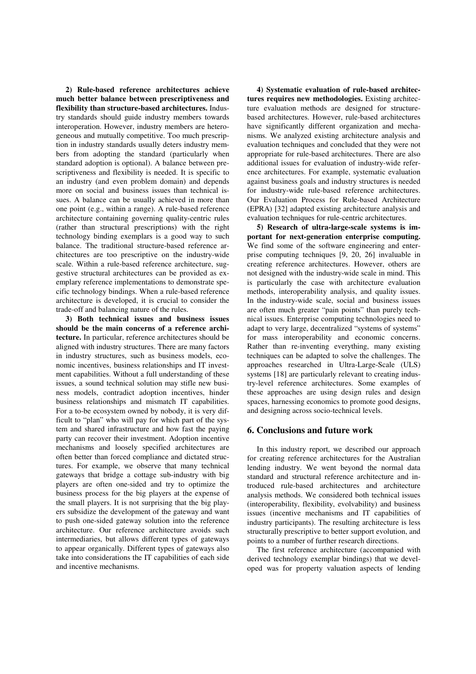**2) Rule-based reference architectures achieve much better balance between prescriptiveness and flexibility than structure-based architectures.** Industry standards should guide industry members towards interoperation. However, industry members are heterogeneous and mutually competitive. Too much prescription in industry standards usually deters industry members from adopting the standard (particularly when standard adoption is optional). A balance between prescriptiveness and flexibility is needed. It is specific to an industry (and even problem domain) and depends more on social and business issues than technical issues. A balance can be usually achieved in more than one point (e.g., within a range). A rule-based reference architecture containing governing quality-centric rules (rather than structural prescriptions) with the right technology binding exemplars is a good way to such balance. The traditional structure-based reference architectures are too prescriptive on the industry-wide scale. Within a rule-based reference architecture, suggestive structural architectures can be provided as exemplary reference implementations to demonstrate specific technology bindings. When a rule-based reference architecture is developed, it is crucial to consider the trade-off and balancing nature of the rules.

**3) Both technical issues and business issues should be the main concerns of a reference architecture.** In particular, reference architectures should be aligned with industry structures. There are many factors in industry structures, such as business models, economic incentives, business relationships and IT investment capabilities. Without a full understanding of these issues, a sound technical solution may stifle new business models, contradict adoption incentives, hinder business relationships and mismatch IT capabilities. For a to-be ecosystem owned by nobody, it is very difficult to "plan" who will pay for which part of the system and shared infrastructure and how fast the paying party can recover their investment. Adoption incentive mechanisms and loosely specified architectures are often better than forced compliance and dictated structures. For example, we observe that many technical gateways that bridge a cottage sub-industry with big players are often one-sided and try to optimize the business process for the big players at the expense of the small players. It is not surprising that the big players subsidize the development of the gateway and want to push one-sided gateway solution into the reference architecture. Our reference architecture avoids such intermediaries, but allows different types of gateways to appear organically. Different types of gateways also take into considerations the IT capabilities of each side and incentive mechanisms.

**4) Systematic evaluation of rule-based architectures requires new methodologies.** Existing architecture evaluation methods are designed for structurebased architectures. However, rule-based architectures have significantly different organization and mechanisms. We analyzed existing architecture analysis and evaluation techniques and concluded that they were not appropriate for rule-based architectures. There are also additional issues for evaluation of industry-wide reference architectures. For example, systematic evaluation against business goals and industry structures is needed for industry-wide rule-based reference architectures. Our Evaluation Process for Rule-based Architecture (EPRA) [32] adapted existing architecture analysis and evaluation techniques for rule-centric architectures.

**5) Research of ultra-large-scale systems is important for next-generation enterprise computing.** We find some of the software engineering and enterprise computing techniques [9, 20, 26] invaluable in creating reference architectures. However, others are not designed with the industry-wide scale in mind. This is particularly the case with architecture evaluation methods, interoperability analysis, and quality issues. In the industry-wide scale, social and business issues are often much greater "pain points" than purely technical issues. Enterprise computing technologies need to adapt to very large, decentralized "systems of systems" for mass interoperability and economic concerns. Rather than re-inventing everything, many existing techniques can be adapted to solve the challenges. The approaches researched in Ultra-Large-Scale (ULS) systems [18] are particularly relevant to creating industry-level reference architectures. Some examples of these approaches are using design rules and design spaces, harnessing economics to promote good designs, and designing across socio-technical levels.

#### **6. Conclusions and future work**

In this industry report, we described our approach for creating reference architectures for the Australian lending industry. We went beyond the normal data standard and structural reference architecture and introduced rule-based architectures and architecture analysis methods. We considered both technical issues (interoperability, flexibility, evolvability) and business issues (incentive mechanisms and IT capabilities of industry participants). The resulting architecture is less structurally prescriptive to better support evolution, and points to a number of further research directions.

The first reference architecture (accompanied with derived technology exemplar bindings) that we developed was for property valuation aspects of lending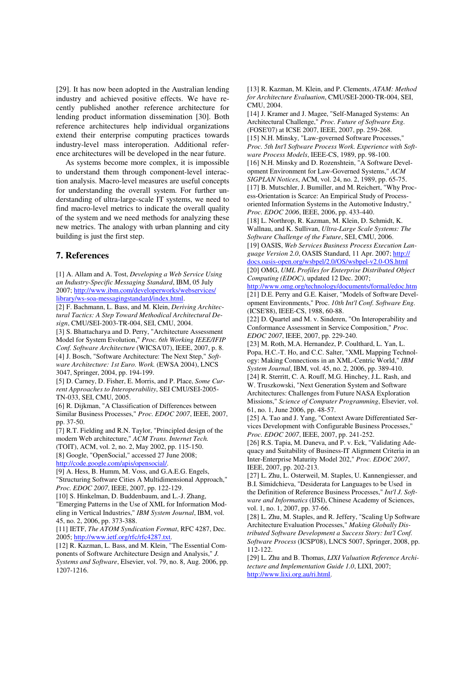[29]. It has now been adopted in the Australian lending industry and achieved positive effects. We have recently published another reference architecture for lending product information dissemination [30]. Both reference architectures help individual organizations extend their enterprise computing practices towards industry-level mass interoperation. Additional reference architectures will be developed in the near future.

As systems become more complex, it is impossible to understand them through component-level interaction analysis. Macro-level measures are useful concepts for understanding the overall system. For further understanding of ultra-large-scale IT systems, we need to find macro-level metrics to indicate the overall quality of the system and we need methods for analyzing these new metrics. The analogy with urban planning and city building is just the first step.

#### **7. References**

[1] A. Allam and A. Tost, *Developing a Web Service Using an Industry-Specific Messaging Standard*, IBM, 05 July 2007; http://www.ibm.com/developerworks/webservices/ library/ws-soa-messagingstandard/index.html.

[2] F. Bachmann, L. Bass, and M. Klein, *Deriving Architectural Tactics: A Step Toward Methodical Architectural Design*, CMU/SEI-2003-TR-004, SEI, CMU, 2004.

[3] S. Bhattacharya and D. Perry, "Architecture Assessment Model for System Evolution," *Proc. 6th Working IEEE/IFIP Conf. Software Architecture* (WICSA'07), IEEE, 2007, p. 8. [4] J. Bosch, "Software Architecture: The Next Step," *Software Architecture: 1st Euro. Work.* (EWSA 2004), LNCS 3047, Springer, 2004, pp. 194-199.

[5] D. Carney, D. Fisher, E. Morris, and P. Place, *Some Current Approaches to Interoperability*, SEI CMU/SEI-2005- TN-033, SEI, CMU, 2005.

[6] R. Dijkman, "A Classification of Differences between Similar Business Processes," *Proc. EDOC 2007*, IEEE, 2007, pp. 37-50.

[7] R.T. Fielding and R.N. Taylor, "Principled design of the modern Web architecture," *ACM Trans. Internet Tech.* (TOIT), ACM, vol. 2, no. 2, May 2002, pp. 115-150. [8] Google, "OpenSocial," accessed 27 June 2008; http://code.google.com/apis/opensocial/.

[9] A. Hess, B. Humm, M. Voss, and G.A.E.G. Engels,

"Structuring Software Cities A Multidimensional Approach," *Proc. EDOC 2007*, IEEE, 2007, pp. 122-129.

[10] S. Hinkelman, D. Buddenbaum, and L.-J. Zhang, "Emerging Patterns in the Use of XML for Information Modeling in Vertical Industries," *IBM System Journal*, IBM, vol. 45, no. 2, 2006, pp. 373-388.

[11] IETF, *The ATOM Syndication Format*, RFC 4287, Dec. 2005; http://www.ietf.org/rfc/rfc4287.txt.

[12] R. Kazman, L. Bass, and M. Klein, "The Essential Components of Software Architecture Design and Analysis," *J. Systems and Software*, Elsevier, vol. 79, no. 8, Aug. 2006, pp. 1207-1216.

[13] R. Kazman, M. Klein, and P. Clements, *ATAM: Method for Architecture Evaluation*, CMU/SEI-2000-TR-004, SEI, CMU, 2004.

[14] J. Kramer and J. Magee, "Self-Managed Systems: An Architectural Challenge," *Proc. Future of Software Eng.*  (FOSE'07) at ICSE 2007, IEEE, 2007, pp. 259-268. [15] N.H. Minsky, "Law-governed Software Processes," *Proc. 5th Int'l Software Process Work. Experience with Software Process Models*, IEEE-CS, 1989, pp. 98-100. [16] N.H. Minsky and D. Rozenshtein, "A Software Development Environment for Law-Governed Systems," *ACM SIGPLAN Notices*, ACM, vol. 24, no. 2, 1989, pp. 65-75. [17] B. Mutschler, J. Bumiller, and M. Reichert, "Why Process-Orientation is Scarce: An Empirical Study of Processoriented Information Systems in the Automotive Industry," *Proc. EDOC 2006*, IEEE, 2006, pp. 433-440. [18] L. Northrop, R. Kazman, M. Klein, D. Schmidt, K. Wallnau, and K. Sullivan, *Ultra-Large Scale Systems: The Software Challenge of the Future*, SEI, CMU, 2006. [19] OASIS, *Web Services Business Process Execution Language Version 2.0*, OASIS Standard, 11 Apr. 2007; http:// docs.oasis-open.org/wsbpel/2.0/OS/wsbpel-v2.0-OS.html [20] OMG, *UML Profiles for Enterprise Distributed Object Computing (EDOC)*, updated 12 Dec. 2007; http://www.omg.org/technology/documents/formal/edoc.htm [21] D.E. Perry and G.E. Kaiser, "Models of Software Development Environments," Proc. *10th Int'l Conf. Software Eng.* (ICSE'88), IEEE-CS, 1988, 60-88. [22] D. Quartel and M. v. Sinderen, "On Interoperability and Conformance Assessment in Service Composition," *Proc. EDOC 2007*, IEEE, 2007, pp. 229-240. [23] M. Roth, M.A. Hernandez, P. Coulthard, L. Yan, L. Popa, H.C.-T. Ho, and C.C. Salter, "XML Mapping Technology: Making Connections in an XML-Centric World," *IBM System Journal*, IBM, vol. 45, no. 2, 2006, pp. 389-410. [24] R. Sterritt, C. A. Rouff, M.G. Hinchey, J.L. Rash, and W. Truszkowski, "Next Generation System and Software Architectures: Challenges from Future NASA Exploration Missions," *Science of Computer Programming*, Elsevier, vol. 61, no. 1, June 2006, pp. 48-57. [25] A. Tao and J. Yang, "Context Aware Differentiated Services Development with Configurable Business Processes,"

*Proc. EDOC 2007*, IEEE, 2007, pp. 241-252. [26] R.S. Tapia, M. Daneva, and P. v. Eck, "Validating Adequacy and Suitability of Business-IT Alignment Criteria in an Inter-Enterprise Maturity Model 202," *Proc. EDOC 2007*, IEEE, 2007, pp. 202-213.

[27] L. Zhu, L. Osterweil, M. Staples, U. Kannengiesser, and B.I. Simidchieva, "Desiderata for Languages to be Used in the Definition of Reference Business Processes," *Int'l J. Software and Informatics* (IJSI), Chinese Academy of Sciences, vol. 1, no. 1, 2007, pp. 37-66.

[28] L. Zhu, M. Staples, and R. Jeffery, "Scaling Up Software Architecture Evaluation Processes," *Making Globally Distributed Software Development a Success Story: Int'l Conf. Software Process* (ICSP'08), LNCS 5007, Springer, 2008, pp. 112-122.

[29] L. Zhu and B. Thomas, *LIXI Valuation Reference Architecture and Implementation Guide 1.0*, LIXI, 2007; http://www.lixi.org.au/ri.html.